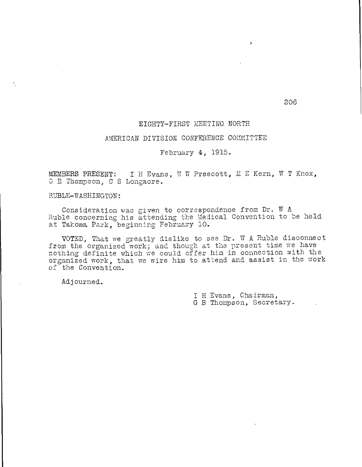# EIGHTY-FIRST MEETING NORTH

### AMERICAN DIVISION CONFERENCE COMMITTEE

# February 4, 1915.

MEMBERS PRESENT: I H Evans, V W Prescott, M E Kern, W T Knox, G B Thompson, C S Longacre.

RUBLE-WASHINGTON:

Consideration was given to correspondence from Dr. W A Ruble concerning his attending the Medical Convention to be held at Takoma Park, beginning February 10.

VOTED, That we greatly dislike to see Dr. N A Ruble disconnect from the organized work; and though at the present time we have nothing definite which we could offer him in connection with the organized work, that we wire him to attend and assist in the work of the Convention.

Adjourned.

I H Evans, Chairman, G B Thompson, Secretary.

206

 $\ddot{\phantom{0}}$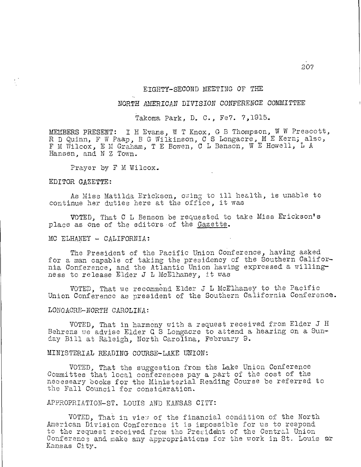### EIGHTY—SECOND MEETING OF THE

# NORTH AMERICAN DIVISION CONFERENCE COMMITTEE

Takoma Park, D. C., Fe7. 7,1915.

MEMBERS PRESENT: I H Evans, W T Knox, G B Thompson, W W Prescott, R D Quinn, F W Paap, B G Wilkinson, C S Longacre, M E Kern; also, F M Wilcox, E M Graham, T E Bowen, C L Benson, W E Howell, L A Hansen, and N Z Town.

Prayer by F M Wilcox.

#### EDITOR GAZETTE:

As Miss Matilda Erickson, owing to ill health, is unable to continue her duties here at the office, it was

VOTED, That C L Benson be requested to take Miss Erickson's place as one of the editors of the Gazette.

### MC ELHANEY — CALIFORNIA:

The President of the Pacific Union Conference, having asked for a man capable of taking the presidency of the Southern California Conference, and the Atlantic Union having expressed a willingness to release Elder J L McElhaney, it was

VOTED, That we recommend Elder J L McElhaney to the Pacific Union Conference as president of the Southern California Conference.

## LONGACRE—NORTH CAROLINA:

VOTED, That in harmony with a request received from Elder J H Behrens we advise Elder G S Longacre to attend a hearing on a Sunday Bill at Raleigh, North Carolina, February 9.

# MINISTERIAL READING COURSE—LAKE UNION;

VOTED, That the suggestion from the Lake Union Conference Committee that local conferences pay a part of the cost of the necessary books for the Ministerial Reading Course be referred to the Fall Council for consideration.

# APPROPRIATION—ST. LOUIS AND KANSAS CITY:

VOTED, That in view of the financial condition of the North American Division Conference it is impossible for us to respond to the request received from the President of the Central Union Conference and make any appropriations for the work in St. Louis or Kansas City.

207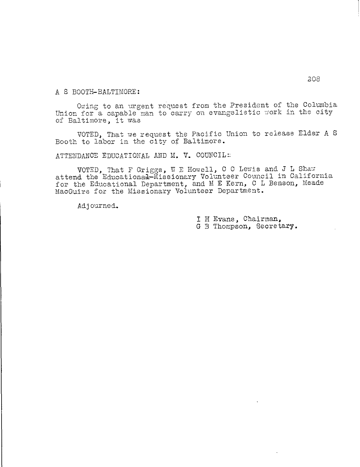A S BOOTH-BALTIMORE:

Owing to an urgent request from the President of the Columbia Union for a capable man to carry on evangelistic work in the city of Baltimore, it was

VOTED, That we request the Pacific Union to release Elder A S Booth to labor in the city of Baltimore.

ATTENDANCE EDUCATIONAL AND M. V. COUNCIL::

VOTED, That F Griggs, W E Howell, C C Lewis and J L Shaw attend the Educational-Missionary Volunteer Council in California for the Educational Department, and M E Kern, C L Benson, Meade MacGuire for the Missionary Volunteer Department.

Adjourned.

I H Evans, Chairman, G B Thompson, Secretary.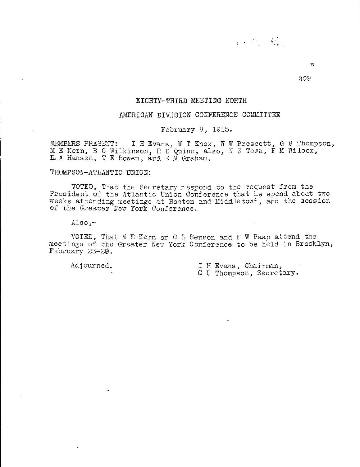w

209

# EIGHTY-THIRD MEETING NORTH

# AMERICAN DIVISION CONFERENCE COMMITTEE

February 8, 1915.

MEMBERS PRESENT: I H Evans, W T Knox, W W Prescott, G B Thompson, M E Kern, B G Wilkinson, R D Quinn; also, N Z Town, F M Wilcox, E A Hansen, T E Bowen, and E M Graham\_

# THOMPSON-ATLANTIC UNION:

VOTED, That the Secretary respond to the request from the President of the Atlantic Union Conference that he spend about two weeks attending meetings at Boston and Middletown, and the session of the Greater New York Conference.

 $Also, -$ 

VOTED, That M E Kern or C L Benson and F W Paap attend the meetings of the Greater New York Conference to be held in Brooklyn, February 23-28.

Adjourned. I H Evans, Chairman, G B Thompson, Secretary.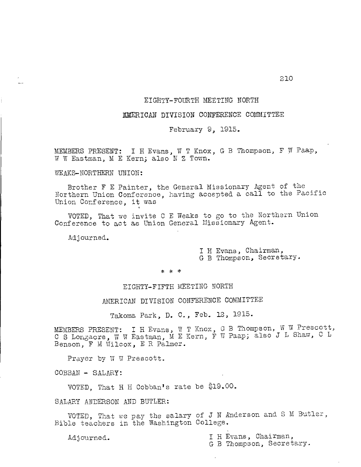## EIGHTY-FOURTH MEETING NORTH

## AMERICAN DIVISION CONFERENCE COMMITTEE

February 9, 1915.

MEMBERS PRESENT: I H Evans, W T Knox, G B Thompson, F T Paap, W W Eastman, M E Kern; also N Z Town.

TEAKS-NORTHERN UNION:

Brother F E Painter, the General Missionary Agent of the Northern Union Conference, having accepted a call to the Pacific Union Conference, it was

VOTED, That we invite C E Teaks to go to the Northern Union Conference to act as Union General Missionary Agent.

Adjourned.

I H Evans, Chairman, G B Thompson, Secretary.

\* \* \*

EIGHTY-FIFTH MEETING NORTH

AMERICAN DIVISION CONFERENCE COMMITTEE

Takoma Park, D. C., Feb. 12, 1915.

MEMBERS PRESENT: I H Evans, W T Knox, 9 C S Longacre, W W Eastman, M E Kern, F Benson, F M Wilcox, E R Palmer. G B Thompson, W W Prescott, W Paap; also J L Shaw, C L

Prayer by W W Prescott.

COBBAN - SALARY:

VOTED. That H H Cobban's rate be  $$19.00$ .

SALARY ANDERSON AND BUTLER:

VOTED, That we pay the salary of J N Anderson and S M Butler, Bible teachers in the Washington College.

Adjourned. The Evans, Chairman,

G B Thompson, Secretary.